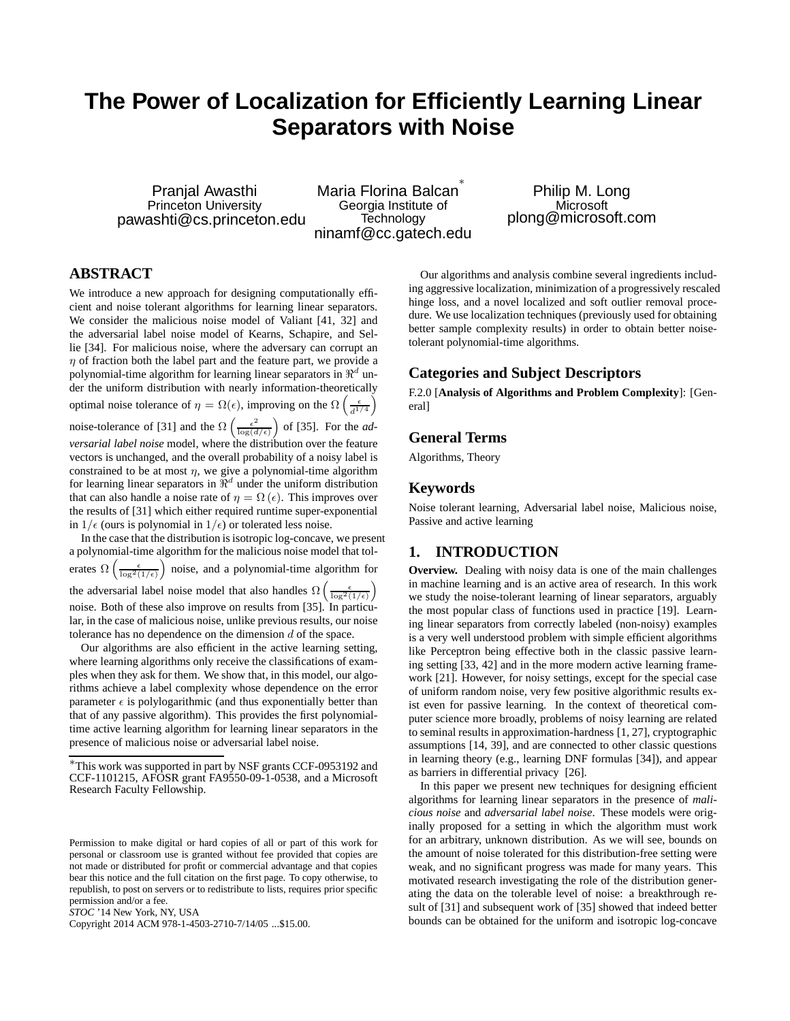# **The Power of Localization for Efficiently Learning Linear Separators with Noise**

Pranjal Awasthi Princeton University pawashti@cs.princeton.edu

Maria Florina Balcan<sup>\*</sup> Georgia Institute of **Technology** ninamf@cc.gatech.edu

Philip M. Long **Microsoft** plong@microsoft.com

# **ABSTRACT**

We introduce a new approach for designing computationally efficient and noise tolerant algorithms for learning linear separators. We consider the malicious noise model of Valiant [41, 32] and the adversarial label noise model of Kearns, Schapire, and Sellie [34]. For malicious noise, where the adversary can corrupt an  $\eta$  of fraction both the label part and the feature part, we provide a polynomial-time algorithm for learning linear separators in  $\Re^d$  under the uniform distribution with nearly information-theoretically optimal noise tolerance of  $\eta = \Omega(\epsilon)$ , improving on the  $\Omega\left(\frac{\epsilon}{d^{1/4}}\right)$ noise-tolerance of [31] and the  $\Omega \left( \frac{\epsilon^2}{\log d} \right)$  $\frac{\epsilon^2}{\log(d/\epsilon)}$  of [35]. For the *adversarial label noise* model, where the distribution over the feature vectors is unchanged, and the overall probability of a noisy label is constrained to be at most  $\eta$ , we give a polynomial-time algorithm for learning linear separators in  $\mathbb{R}^d$  under the uniform distribution that can also handle a noise rate of  $\eta = \Omega(\epsilon)$ . This improves over the results of [31] which either required runtime super-exponential in  $1/\epsilon$  (ours is polynomial in  $1/\epsilon$ ) or tolerated less noise.

In the case that the distribution is isotropic log-concave, we present a polynomial-time algorithm for the malicious noise model that tolerates  $\Omega\left(\frac{\epsilon}{\log^2(1/\epsilon)}\right)$  noise, and a polynomial-time algorithm for the adversarial label noise model that also handles  $\Omega\left(\frac{\epsilon}{\log^2(1/\epsilon)}\right)$ noise. Both of these also improve on results from [35]. In particular, in the case of malicious noise, unlike previous results, our noise tolerance has no dependence on the dimension  $d$  of the space.

Our algorithms are also efficient in the active learning setting, where learning algorithms only receive the classifications of examples when they ask for them. We show that, in this model, our algorithms achieve a label complexity whose dependence on the error parameter  $\epsilon$  is polylogarithmic (and thus exponentially better than that of any passive algorithm). This provides the first polynomialtime active learning algorithm for learning linear separators in the presence of malicious noise or adversarial label noise.

*STOC* '14 New York, NY, USA

Copyright 2014 ACM 978-1-4503-2710-7/14/05 ...\$15.00.

Our algorithms and analysis combine several ingredients including aggressive localization, minimization of a progressively rescaled hinge loss, and a novel localized and soft outlier removal procedure. We use localization techniques (previously used for obtaining better sample complexity results) in order to obtain better noisetolerant polynomial-time algorithms.

### **Categories and Subject Descriptors**

F.2.0 [**Analysis of Algorithms and Problem Complexity**]: [General]

### **General Terms**

Algorithms, Theory

### **Keywords**

Noise tolerant learning, Adversarial label noise, Malicious noise, Passive and active learning

## **1. INTRODUCTION**

**Overview.** Dealing with noisy data is one of the main challenges in machine learning and is an active area of research. In this work we study the noise-tolerant learning of linear separators, arguably the most popular class of functions used in practice [19]. Learning linear separators from correctly labeled (non-noisy) examples is a very well understood problem with simple efficient algorithms like Perceptron being effective both in the classic passive learning setting [33, 42] and in the more modern active learning framework [21]. However, for noisy settings, except for the special case of uniform random noise, very few positive algorithmic results exist even for passive learning. In the context of theoretical computer science more broadly, problems of noisy learning are related to seminal results in approximation-hardness [1, 27], cryptographic assumptions [14, 39], and are connected to other classic questions in learning theory (e.g., learning DNF formulas [34]), and appear as barriers in differential privacy [26].

In this paper we present new techniques for designing efficient algorithms for learning linear separators in the presence of *malicious noise* and *adversarial label noise*. These models were originally proposed for a setting in which the algorithm must work for an arbitrary, unknown distribution. As we will see, bounds on the amount of noise tolerated for this distribution-free setting were weak, and no significant progress was made for many years. This motivated research investigating the role of the distribution generating the data on the tolerable level of noise: a breakthrough result of [31] and subsequent work of [35] showed that indeed better bounds can be obtained for the uniform and isotropic log-concave

<sup>∗</sup>This work was supported in part by NSF grants CCF-0953192 and CCF-1101215, AFOSR grant FA9550-09-1-0538, and a Microsoft Research Faculty Fellowship.

Permission to make digital or hard copies of all or part of this work for personal or classroom use is granted without fee provided that copies are not made or distributed for profit or commercial advantage and that copies bear this notice and the full citation on the first page. To copy otherwise, to republish, to post on servers or to redistribute to lists, requires prior specific permission and/or a fee.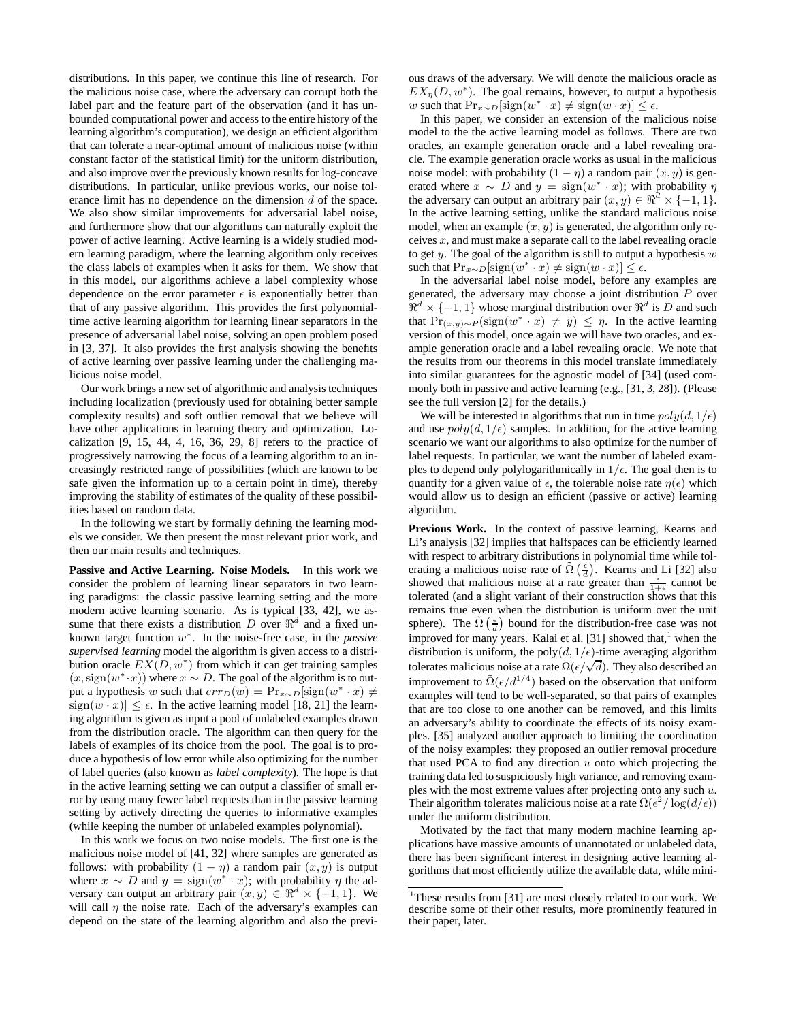distributions. In this paper, we continue this line of research. For the malicious noise case, where the adversary can corrupt both the label part and the feature part of the observation (and it has unbounded computational power and access to the entire history of the learning algorithm's computation), we design an efficient algorithm that can tolerate a near-optimal amount of malicious noise (within constant factor of the statistical limit) for the uniform distribution, and also improve over the previously known results for log-concave distributions. In particular, unlike previous works, our noise tolerance limit has no dependence on the dimension d of the space. We also show similar improvements for adversarial label noise, and furthermore show that our algorithms can naturally exploit the power of active learning. Active learning is a widely studied modern learning paradigm, where the learning algorithm only receives the class labels of examples when it asks for them. We show that in this model, our algorithms achieve a label complexity whose dependence on the error parameter  $\epsilon$  is exponentially better than that of any passive algorithm. This provides the first polynomialtime active learning algorithm for learning linear separators in the presence of adversarial label noise, solving an open problem posed in [3, 37]. It also provides the first analysis showing the benefits of active learning over passive learning under the challenging malicious noise model.

Our work brings a new set of algorithmic and analysis techniques including localization (previously used for obtaining better sample complexity results) and soft outlier removal that we believe will have other applications in learning theory and optimization. Localization [9, 15, 44, 4, 16, 36, 29, 8] refers to the practice of progressively narrowing the focus of a learning algorithm to an increasingly restricted range of possibilities (which are known to be safe given the information up to a certain point in time), thereby improving the stability of estimates of the quality of these possibilities based on random data.

In the following we start by formally defining the learning models we consider. We then present the most relevant prior work, and then our main results and techniques.

**Passive and Active Learning. Noise Models.** In this work we consider the problem of learning linear separators in two learning paradigms: the classic passive learning setting and the more modern active learning scenario. As is typical [33, 42], we assume that there exists a distribution D over  $\mathbb{R}^d$  and a fixed unknown target function w ∗ . In the noise-free case, in the *passive supervised learning* model the algorithm is given access to a distribution oracle  $EX(D, w^*)$  from which it can get training samples  $(x, sign(w^* \cdot x))$  where  $x \sim D$ . The goal of the algorithm is to output a hypothesis w such that  $err_D(w) = Pr_{x \sim D}[\text{sign}(w^* \cdot x) \neq$  $sign(w \cdot x) \leq \epsilon$ . In the active learning model [18, 21] the learning algorithm is given as input a pool of unlabeled examples drawn from the distribution oracle. The algorithm can then query for the labels of examples of its choice from the pool. The goal is to produce a hypothesis of low error while also optimizing for the number of label queries (also known as *label complexity*). The hope is that in the active learning setting we can output a classifier of small error by using many fewer label requests than in the passive learning setting by actively directing the queries to informative examples (while keeping the number of unlabeled examples polynomial).

In this work we focus on two noise models. The first one is the malicious noise model of [41, 32] where samples are generated as follows: with probability  $(1 - \eta)$  a random pair  $(x, y)$  is output where  $x \sim D$  and  $y = sign(w^* \cdot x)$ ; with probability  $\eta$  the adversary can output an arbitrary pair  $(x, y) \in \mathbb{R}^d \times \{-1, 1\}$ . We will call  $\eta$  the noise rate. Each of the adversary's examples can depend on the state of the learning algorithm and also the previous draws of the adversary. We will denote the malicious oracle as  $EX_{\eta}(D, w^*)$ . The goal remains, however, to output a hypothesis w such that  $Pr_{x \sim D}[\text{sign}(w^* \cdot x) \neq \text{sign}(w \cdot x)] \leq \epsilon$ .

In this paper, we consider an extension of the malicious noise model to the the active learning model as follows. There are two oracles, an example generation oracle and a label revealing oracle. The example generation oracle works as usual in the malicious noise model: with probability  $(1 - \eta)$  a random pair  $(x, y)$  is generated where  $x \sim D$  and  $y = sign(w^* \cdot x)$ ; with probability  $\eta$ the adversary can output an arbitrary pair  $(x, y) \in \mathbb{R}^d \times \{-1, 1\}.$ In the active learning setting, unlike the standard malicious noise model, when an example  $(x, y)$  is generated, the algorithm only receives  $x$ , and must make a separate call to the label revealing oracle to get y. The goal of the algorithm is still to output a hypothesis  $w$ such that  $Pr_{x \sim D}[\text{sign}(w^* \cdot x) \neq \text{sign}(w \cdot x)] \leq \epsilon$ .

In the adversarial label noise model, before any examples are generated, the adversary may choose a joint distribution P over  $\mathbb{R}^d \times \{-1, 1\}$  whose marginal distribution over  $\mathbb{R}^d$  is D and such that  $Pr_{(x,y)\sim P}(\text{sign}(w^* \cdot x) \neq y) \leq \eta$ . In the active learning version of this model, once again we will have two oracles, and example generation oracle and a label revealing oracle. We note that the results from our theorems in this model translate immediately into similar guarantees for the agnostic model of [34] (used commonly both in passive and active learning (e.g., [31, 3, 28]). (Please see the full version [2] for the details.)

We will be interested in algorithms that run in time  $poly(d, 1/\epsilon)$ and use  $poly(d, 1/\epsilon)$  samples. In addition, for the active learning scenario we want our algorithms to also optimize for the number of label requests. In particular, we want the number of labeled examples to depend only polylogarithmically in  $1/\epsilon$ . The goal then is to quantify for a given value of  $\epsilon$ , the tolerable noise rate  $\eta(\epsilon)$  which would allow us to design an efficient (passive or active) learning algorithm.

**Previous Work.** In the context of passive learning, Kearns and Li's analysis [32] implies that halfspaces can be efficiently learned with respect to arbitrary distributions in polynomial time while tolerating a malicious noise rate of  $\tilde{\Omega}\left(\frac{\epsilon}{d}\right)$ . Kearns and Li [32] also showed that malicious noise at a rate greater than  $\frac{\epsilon}{1+\epsilon}$  cannot be tolerated (and a slight variant of their construction shows that this remains true even when the distribution is uniform over the unit sphere). The  $\tilde{\Omega}\left(\frac{\epsilon}{d}\right)$  bound for the distribution-free case was not improved for many years. Kalai et al.  $[31]$  showed that,<sup>1</sup> when the distribution is uniform, the poly $(d, 1/\epsilon)$ -time averaging algorithm tolerates malicious noise at a rate  $\Omega(\epsilon/\sqrt{d})$ . They also described an improvement to  $\tilde{\Omega}(\epsilon/d^{1/4})$  based on the observation that uniform examples will tend to be well-separated, so that pairs of examples that are too close to one another can be removed, and this limits an adversary's ability to coordinate the effects of its noisy examples. [35] analyzed another approach to limiting the coordination of the noisy examples: they proposed an outlier removal procedure that used PCA to find any direction  $u$  onto which projecting the training data led to suspiciously high variance, and removing examples with the most extreme values after projecting onto any such  $u$ . Their algorithm tolerates malicious noise at a rate  $\Omega(\epsilon^2/\log(d/\epsilon))$ under the uniform distribution.

Motivated by the fact that many modern machine learning applications have massive amounts of unannotated or unlabeled data, there has been significant interest in designing active learning algorithms that most efficiently utilize the available data, while mini-

<sup>&</sup>lt;sup>1</sup>These results from [31] are most closely related to our work. We describe some of their other results, more prominently featured in their paper, later.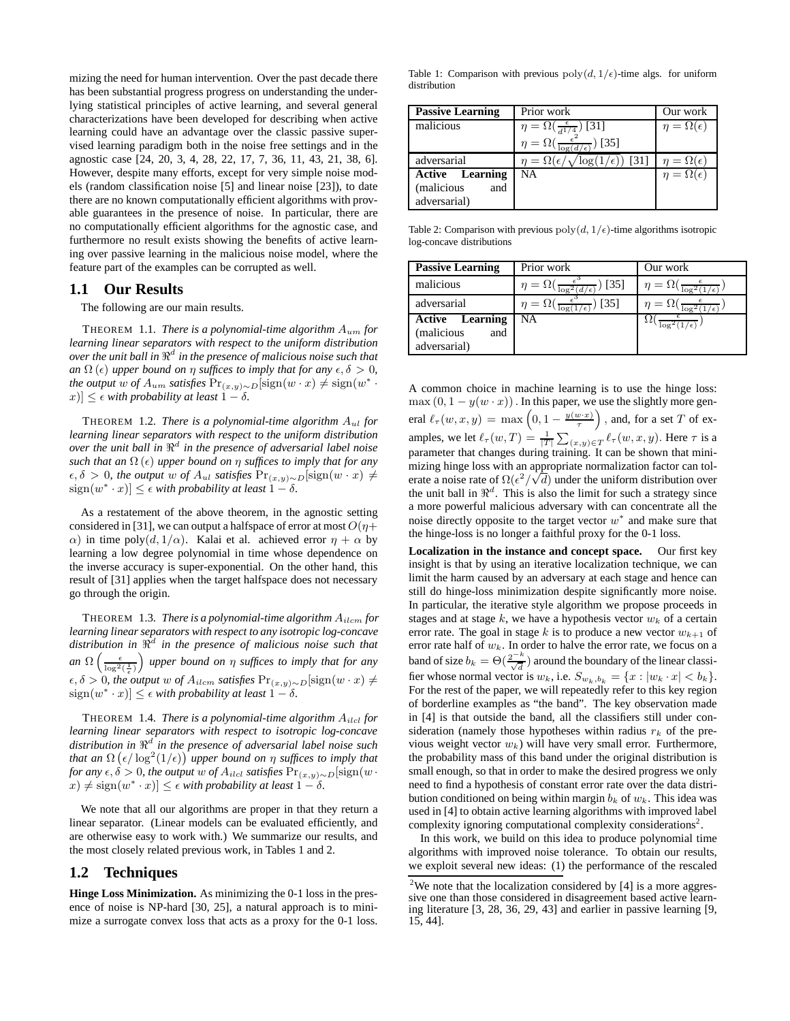mizing the need for human intervention. Over the past decade there has been substantial progress progress on understanding the underlying statistical principles of active learning, and several general characterizations have been developed for describing when active learning could have an advantage over the classic passive supervised learning paradigm both in the noise free settings and in the agnostic case [24, 20, 3, 4, 28, 22, 17, 7, 36, 11, 43, 21, 38, 6]. However, despite many efforts, except for very simple noise models (random classification noise [5] and linear noise [23]), to date there are no known computationally efficient algorithms with provable guarantees in the presence of noise. In particular, there are no computationally efficient algorithms for the agnostic case, and furthermore no result exists showing the benefits of active learning over passive learning in the malicious noise model, where the feature part of the examples can be corrupted as well.

### **1.1 Our Results**

The following are our main results.

THEOREM 1.1. *There is a polynomial-time algorithm* Aum *for learning linear separators with respect to the uniform distribution over the unit ball in* ℜ d *in the presence of malicious noise such that an*  $\Omega$  ( $\epsilon$ ) *upper bound on*  $\eta$  *suffices to imply that for any*  $\epsilon$ ,  $\delta > 0$ , *the output* w *of*  $A_{um}$  *satisfies*  $Pr_{(x,y)\sim D}[\text{sign}(w \cdot x) \neq \text{sign}(w^* \cdot y)]$  $|x| \leq \epsilon$  *with probability at least*  $1 - \delta$ *.* 

THEOREM 1.2. *There is a polynomial-time algorithm* Aul *for learning linear separators with respect to the uniform distribution over the unit ball in* ℜ d *in the presence of adversarial label noise such that an*  $\Omega$  ( $\epsilon$ ) *upper bound on*  $\eta$  *suffices to imply that for any*  $\epsilon, \delta > 0$ , the output w of A<sub>ul</sub> satisfies Pr<sub>(x,y)∼D</sub>[sign(w · x)  $\neq$  $\langle \operatorname{sign}(w^* \cdot x) \rangle \leq \epsilon$  *with probability at least*  $1 - \delta$ *.* 

As a restatement of the above theorem, in the agnostic setting considered in [31], we can output a halfspace of error at most  $O(\eta +$ α) in time poly(d, 1/α). Kalai et al. achieved error  $η + α$  by learning a low degree polynomial in time whose dependence on the inverse accuracy is super-exponential. On the other hand, this result of [31] applies when the target halfspace does not necessary go through the origin.

THEOREM 1.3. *There is a polynomial-time algorithm* Ailcm *for learning linear separators with respect to any isotropic log-concave distribution in* ℜ d *in the presence of malicious noise such that*  $an \Omega\left(\frac{\epsilon}{\log^2(\frac{1}{\epsilon})}\right)$  upper bound on  $\eta$  suffices to imply that for any  $\epsilon, \delta > 0$ , the output  $w$  of  $A_{i lcm}$  satisfies  $Pr_{(x,y) \sim D}[\text{sign}(w \cdot x) \neq \text{sign}(w^* \cdot x)] \leq \epsilon$  *with probability at least*  $1 - \delta$ .

THEOREM 1.4. *There is a polynomial-time algorithm* Ailcl *for learning linear separators with respect to isotropic log-concave* distribution in  $\mathbb{R}^d$  in the presence of adversarial label noise such *that an*  $\Omega$  ( $\epsilon$ / $\log^2(1/\epsilon)$ ) upper bound on  $\eta$  suffices to imply that *for any*  $\epsilon, \delta > 0$ *, the output* w *of*  $A_{ilcl}$  *satisfies*  $Pr_{(x,y) \sim D}[\text{sign}(w \cdot$  $f(x) \neq \text{sign}(w^* \cdot x)] \leq \epsilon$  *with probability at least*  $1 - \delta$ *.* 

We note that all our algorithms are proper in that they return a linear separator. (Linear models can be evaluated efficiently, and are otherwise easy to work with.) We summarize our results, and the most closely related previous work, in Tables 1 and 2.

# **1.2 Techniques**

**Hinge Loss Minimization.** As minimizing the 0-1 loss in the presence of noise is NP-hard [30, 25], a natural approach is to minimize a surrogate convex loss that acts as a proxy for the 0-1 loss.

Table 1: Comparison with previous  $poly(d, 1/\epsilon)$ -time algs. for uniform distribution

| <b>Passive Learning</b> | Prior work                                                           | Our work                  |
|-------------------------|----------------------------------------------------------------------|---------------------------|
| malicious               | $\overline{\eta} = \Omega\left(\frac{\epsilon}{d^{1/4}}\right)$ [31] | $\eta = \Omega(\epsilon)$ |
|                         | $\eta = \Omega(\frac{\epsilon^2}{\log(d/\epsilon)})$ [35]            |                           |
| adversarial             | $\eta = \Omega(\epsilon/\sqrt{\log(1/\epsilon)})$ [31]               | $\eta = \Omega(\epsilon)$ |
| <b>Active</b> Learning  | NA                                                                   | $\eta = \Omega(\epsilon)$ |
| (malicious<br>and       |                                                                      |                           |
| adversarial)            |                                                                      |                           |

Table 2: Comparison with previous  $poly(d, 1/\epsilon)$ -time algorithms isotropic log-concave distributions

| <b>Passive Learning</b>                                 | Prior work                                                  | Our work                                      |
|---------------------------------------------------------|-------------------------------------------------------------|-----------------------------------------------|
| malicious                                               | $\eta = \Omega(\frac{\epsilon^3}{\log^2(d/\epsilon)})$ [35] | $\eta = \Omega(\frac{c}{\log^2(1/\epsilon)})$ |
| adversarial                                             | $\left[35\right]$<br>$\eta = \Omega(\frac{c}{\log(1)})$     | $\eta = \Omega(\frac{1}{\log n})$             |
| Learning<br>Active<br>(malicious<br>and<br>adversarial) | NA                                                          |                                               |

A common choice in machine learning is to use the hinge loss:  $\max(0, 1 - y(w \cdot x))$ . In this paper, we use the slightly more general  $\ell_{\tau}(w,x,y) = \max\left(0,1-\frac{y(w \cdot x)}{\tau}\right)$ , and, for a set T of examples, we let  $\ell_{\tau}(w,T) = \frac{1}{|T|} \sum_{(x,y) \in T} \ell_{\tau}(w,x,y)$ . Here  $\tau$  is a parameter that changes during training. It can be shown that minimizing hinge loss with an appropriate normalization factor can tolerate a noise rate of  $\Omega(\epsilon^2/\sqrt{d})$  under the uniform distribution over the unit ball in  $\mathbb{R}^d$ . This is also the limit for such a strategy since a more powerful malicious adversary with can concentrate all the noise directly opposite to the target vector  $w^*$  and make sure that the hinge-loss is no longer a faithful proxy for the 0-1 loss.

**Localization in the instance and concept space.** Our first key insight is that by using an iterative localization technique, we can limit the harm caused by an adversary at each stage and hence can still do hinge-loss minimization despite significantly more noise. In particular, the iterative style algorithm we propose proceeds in stages and at stage k, we have a hypothesis vector  $w_k$  of a certain error rate. The goal in stage k is to produce a new vector  $w_{k+1}$  of error rate half of  $w_k$ . In order to halve the error rate, we focus on a band of size  $b_k = \Theta(\frac{2^{-k}}{\sqrt{d}})$  around the boundary of the linear classifier whose normal vector is  $w_k$ , i.e.  $S_{w_k,b_k} = \{x : |w_k \cdot x| < b_k\}.$ For the rest of the paper, we will repeatedly refer to this key region of borderline examples as "the band". The key observation made in [4] is that outside the band, all the classifiers still under consideration (namely those hypotheses within radius  $r_k$  of the previous weight vector  $w_k$ ) will have very small error. Furthermore, the probability mass of this band under the original distribution is small enough, so that in order to make the desired progress we only need to find a hypothesis of constant error rate over the data distribution conditioned on being within margin  $b_k$  of  $w_k$ . This idea was used in [4] to obtain active learning algorithms with improved label complexity ignoring computational complexity considerations<sup>2</sup>.

In this work, we build on this idea to produce polynomial time algorithms with improved noise tolerance. To obtain our results, we exploit several new ideas: (1) the performance of the rescaled

<sup>&</sup>lt;sup>2</sup>We note that the localization considered by  $[4]$  is a more aggressive one than those considered in disagreement based active learning literature [3, 28, 36, 29, 43] and earlier in passive learning [9, 15, 44].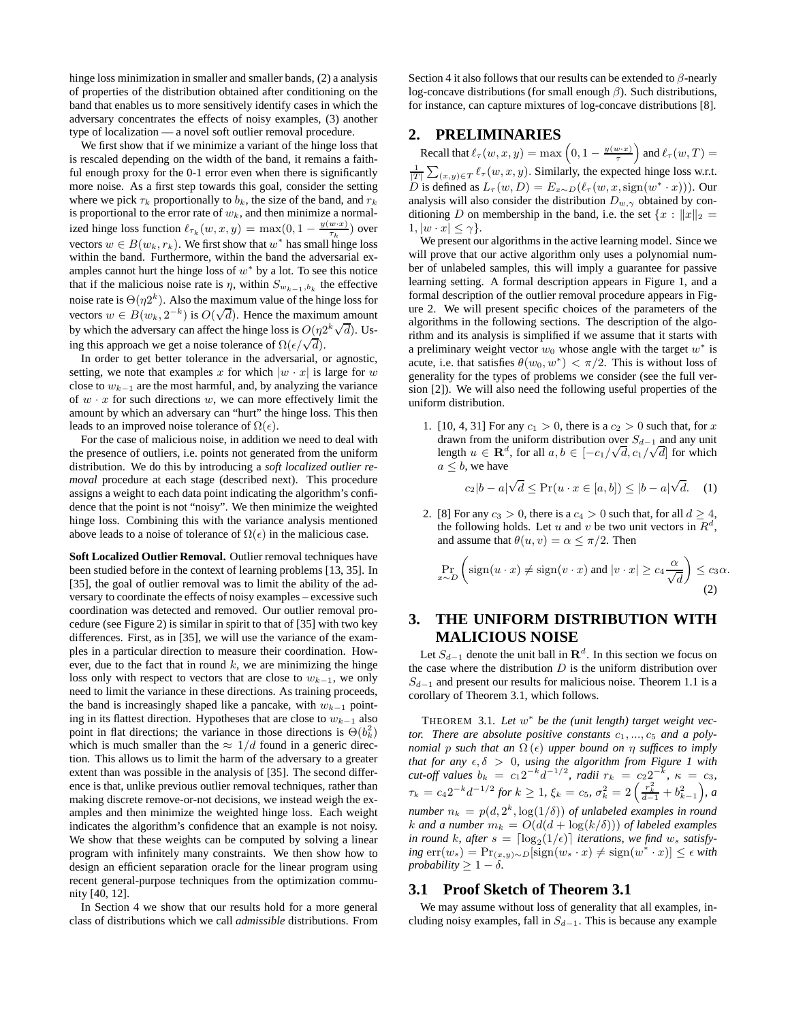hinge loss minimization in smaller and smaller bands, (2) a analysis of properties of the distribution obtained after conditioning on the band that enables us to more sensitively identify cases in which the adversary concentrates the effects of noisy examples, (3) another type of localization — a novel soft outlier removal procedure.

We first show that if we minimize a variant of the hinge loss that is rescaled depending on the width of the band, it remains a faithful enough proxy for the 0-1 error even when there is significantly more noise. As a first step towards this goal, consider the setting where we pick  $\tau_k$  proportionally to  $b_k$ , the size of the band, and  $r_k$ is proportional to the error rate of  $w<sub>k</sub>$ , and then minimize a normalized hinge loss function  $\ell_{\tau_k}(w, x, y) = \max(0, 1 - \frac{y(w \cdot x)}{\tau_k})$  over vectors  $w \in B(w_k, r_k)$ . We first show that  $w^*$  has small hinge loss within the band. Furthermore, within the band the adversarial examples cannot hurt the hinge loss of  $w^*$  by a lot. To see this notice that if the malicious noise rate is  $\eta$ , within  $S_{w_{k-1},b_k}$  the effective noise rate is  $\Theta(\eta 2^k)$ . Also the maximum value of the hinge loss for vectors  $w \in B(w_k, 2^{-k})$  is  $O(\sqrt{d})$ . Hence the maximum amount by which the adversary can affect the hinge loss is  $O(\eta 2^{k}\sqrt{d})$ . Using this approach we get a noise tolerance of  $\Omega(\epsilon/\sqrt{d})$ .

In order to get better tolerance in the adversarial, or agnostic, setting, we note that examples x for which  $|w \cdot x|$  is large for w close to  $w_{k-1}$  are the most harmful, and, by analyzing the variance of  $w \cdot x$  for such directions w, we can more effectively limit the amount by which an adversary can "hurt" the hinge loss. This then leads to an improved noise tolerance of  $\Omega(\epsilon)$ .

For the case of malicious noise, in addition we need to deal with the presence of outliers, i.e. points not generated from the uniform distribution. We do this by introducing a *soft localized outlier removal* procedure at each stage (described next). This procedure assigns a weight to each data point indicating the algorithm's confidence that the point is not "noisy". We then minimize the weighted hinge loss. Combining this with the variance analysis mentioned above leads to a noise of tolerance of  $\Omega(\epsilon)$  in the malicious case.

**Soft Localized Outlier Removal.** Outlier removal techniques have been studied before in the context of learning problems [13, 35]. In [35], the goal of outlier removal was to limit the ability of the adversary to coordinate the effects of noisy examples – excessive such coordination was detected and removed. Our outlier removal procedure (see Figure 2) is similar in spirit to that of [35] with two key differences. First, as in [35], we will use the variance of the examples in a particular direction to measure their coordination. However, due to the fact that in round  $k$ , we are minimizing the hinge loss only with respect to vectors that are close to  $w_{k-1}$ , we only need to limit the variance in these directions. As training proceeds, the band is increasingly shaped like a pancake, with  $w_{k-1}$  pointing in its flattest direction. Hypotheses that are close to  $w_{k-1}$  also point in flat directions; the variance in those directions is  $\Theta(b_k^2)$ which is much smaller than the  $\approx 1/d$  found in a generic direction. This allows us to limit the harm of the adversary to a greater extent than was possible in the analysis of [35]. The second difference is that, unlike previous outlier removal techniques, rather than making discrete remove-or-not decisions, we instead weigh the examples and then minimize the weighted hinge loss. Each weight indicates the algorithm's confidence that an example is not noisy. We show that these weights can be computed by solving a linear program with infinitely many constraints. We then show how to design an efficient separation oracle for the linear program using recent general-purpose techniques from the optimization community [40, 12].

In Section 4 we show that our results hold for a more general class of distributions which we call *admissible* distributions. From Section 4 it also follows that our results can be extended to  $\beta$ -nearly log-concave distributions (for small enough  $\beta$ ). Such distributions, for instance, can capture mixtures of log-concave distributions [8].

# **2. PRELIMINARIES**

Recall that  $\ell_{\tau}(w,x,y) = \max\left(0,1-\frac{y(w \cdot x)}{\tau}\right)$  and  $\ell_{\tau}(w,T) =$  $\frac{1}{|T|} \sum_{(x,y) \in T} \ell_{\tau}(w, x, y)$ . Similarly, the expected hinge loss w.r.t. D is defined as  $L_{\tau}(w, D) = E_{x \sim D}(\ell_{\tau}(w, x, \text{sign}(w^* \cdot x)))$ . Our analysis will also consider the distribution  $D_{w, \gamma}$  obtained by conditioning D on membership in the band, i.e. the set  $\{x : ||x||_2 =$  $1, |w \cdot x| \leq \gamma$ .

We present our algorithms in the active learning model. Since we will prove that our active algorithm only uses a polynomial number of unlabeled samples, this will imply a guarantee for passive learning setting. A formal description appears in Figure 1, and a formal description of the outlier removal procedure appears in Figure 2. We will present specific choices of the parameters of the algorithms in the following sections. The description of the algorithm and its analysis is simplified if we assume that it starts with a preliminary weight vector  $w_0$  whose angle with the target  $w^*$  is acute, i.e. that satisfies  $\theta(w_0, w^*) < \pi/2$ . This is without loss of generality for the types of problems we consider (see the full version [2]). We will also need the following useful properties of the uniform distribution.

1. [10, 4, 31] For any  $c_1 > 0$ , there is a  $c_2 > 0$  such that, for x drawn from the uniform distribution over  $S_{d-1}$  and any unit length  $u \in \mathbf{R}^d$ , for all  $a, b \in [-c_1/\sqrt{d}, c_1/\sqrt{d}]$  for which  $a \leq b$ , we have

$$
c_2|b-a|\sqrt{d} \le \Pr(u \cdot x \in [a,b]) \le |b-a|\sqrt{d}. \quad (1)
$$

2. [8] For any  $c_3 > 0$ , there is a  $c_4 > 0$  such that, for all  $d > 4$ , the following holds. Let u and v be two unit vectors in  $R^d$ , and assume that  $\theta(u, v) = \alpha \leq \pi/2$ . Then

$$
\Pr_{x \sim D} \left( \text{sign}(u \cdot x) \neq \text{sign}(v \cdot x) \text{ and } |v \cdot x| \geq c_4 \frac{\alpha}{\sqrt{d}} \right) \leq c_3 \alpha.
$$
\n(2)

# **3. THE UNIFORM DISTRIBUTION WITH MALICIOUS NOISE**

Let  $S_{d-1}$  denote the unit ball in  $\mathbf{R}^d$ . In this section we focus on the case where the distribution  $D$  is the uniform distribution over  $S_{d-1}$  and present our results for malicious noise. Theorem 1.1 is a corollary of Theorem 3.1, which follows.

THEOREM 3.1. *Let* w ∗ *be the (unit length) target weight vec*tor. There are absolute positive constants  $c_1, ..., c_5$  and a poly*nomial* p *such that an*  $\Omega$  ( $\epsilon$ ) *upper bound on*  $\eta$  *suffices to imply that for any*  $\epsilon, \delta > 0$ , using the algorithm from Figure 1 with  $cut-off$  values  $b_k = c_1 2^{-k} d^{-1/2}$ , radii  $r_k = c_2 2^{-k}$ ,  $\kappa = c_3$ ,  $\tau_k = c_4 2^{-k} d^{-1/2}$  for  $k \ge 1$ ,  $\xi_k = c_5$ ,  $\sigma_k^2 = 2 \left( \frac{r_k^2}{d-1} + b_{k-1}^2 \right)$ , a *number*  $n_k = p(d, 2^k, \log(1/\delta))$  *of unlabeled examples in round* k and a number  $m_k = O(d(d + \log(k/\delta)))$  of labeled examples *in round k, after*  $s = \lfloor \log_2(1/\epsilon) \rfloor$  *iterations, we find*  $w_s$  *satisfy* $ing \operatorname{err}(w_s) = \Pr_{(x,y)\sim D}[\operatorname{sign}(w_s \cdot x) \neq \operatorname{sign}(w^* \cdot x)] \leq \epsilon \text{ with }$ *probability*  $\geq 1 - \delta$ *.* 

### **3.1 Proof Sketch of Theorem 3.1**

We may assume without loss of generality that all examples, including noisy examples, fall in  $S_{d-1}$ . This is because any example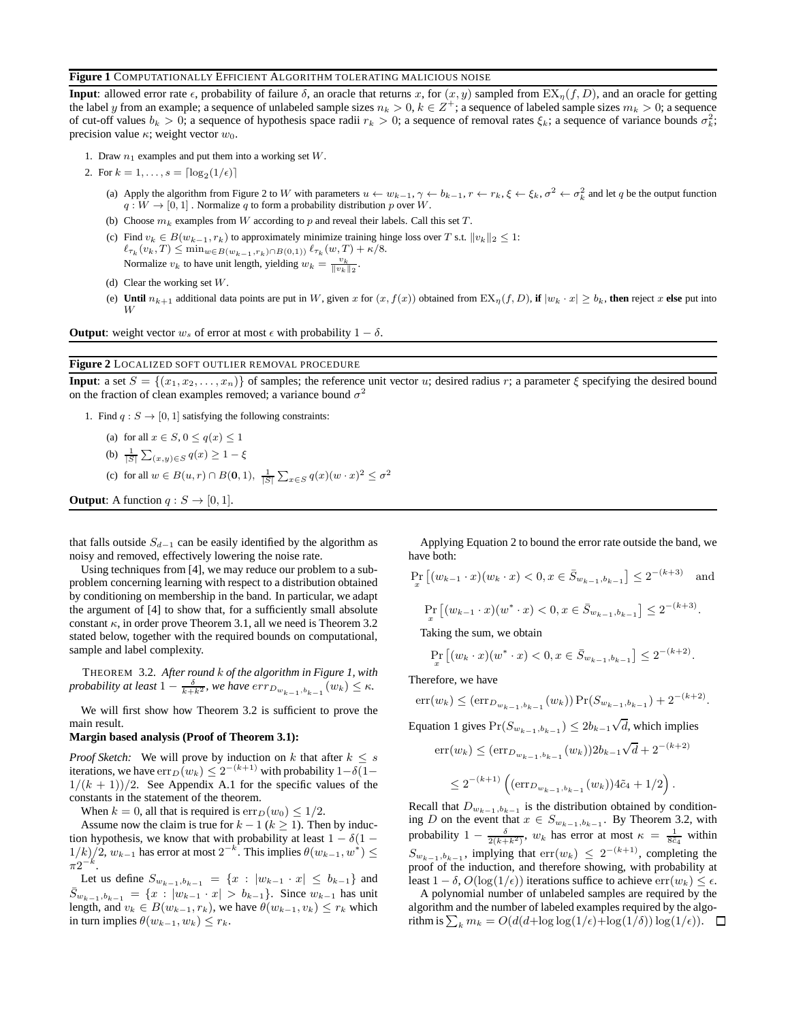#### **Figure 1** COMPUTATIONALLY EFFICIENT ALGORITHM TOLERATING MALICIOUS NOISE

**Input**: allowed error rate  $\epsilon$ , probability of failure  $\delta$ , an oracle that returns x, for  $(x, y)$  sampled from  $EX_n(f, D)$ , and an oracle for getting the label y from an example; a sequence of unlabeled sample sizes  $n_k > 0$ ,  $k \in \mathbb{Z}^+$ ; a sequence of labeled sample sizes  $m_k > 0$ ; a sequence of cut-off values  $b_k > 0$ ; a sequence of hypothesis space radii  $r_k > 0$ ; a sequence of removal rates  $\xi_k$ ; a sequence of variance bounds  $\sigma_k^2$ ; precision value  $\kappa$ ; weight vector  $w_0$ .

1. Draw  $n_1$  examples and put them into a working set  $W$ .

2. For 
$$
k = 1, ..., s = \lceil \log_2(1/\epsilon) \rceil
$$

- (a) Apply the algorithm from Figure 2 to W with parameters  $u \leftarrow w_{k-1}$ ,  $\gamma \leftarrow b_{k-1}$ ,  $r \leftarrow r_k$ ,  $\xi \leftarrow \xi_k$ ,  $\sigma^2 \leftarrow \sigma_k^2$  and let q be the output function  $q:W\rightarrow [0,1]$  . Normalize  $q$  to form a probability distribution  $p$  over  $W.$
- (b) Choose  $m_k$  examples from W according to p and reveal their labels. Call this set T.
- (c) Find  $v_k \in B(w_{k-1}, r_k)$  to approximately minimize training hinge loss over T s.t.  $||v_k||_2 \leq 1$ :  $\ell_{\tau_k}(v_k, T) \leq \min_{w \in B(w_{k-1}, r_k) \cap B(0,1)} \ell_{\tau_k}(w, T) + \kappa/8.$ Normalize  $v_k$  to have unit length, yielding  $w_k = \frac{v_k}{\|v_k\|_2}$ .
- (d) Clear the working set W.
- (e) **Until**  $n_{k+1}$  additional data points are put in W, given x for  $(x, f(x))$  obtained from  $EX_{\eta}(f, D)$ , if  $|w_k \cdot x| \geq b_k$ , then reject x else put into W

**Output**: weight vector  $w_s$  of error at most  $\epsilon$  with probability  $1 - \delta$ .

### **Figure 2** LOCALIZED SOFT OUTLIER REMOVAL PROCEDURE

**Input**: a set  $S = \{(x_1, x_2, \dots, x_n)\}\$  of samples; the reference unit vector u; desired radius r; a parameter  $\xi$  specifying the desired bound on the fraction of clean examples removed; a variance bound  $\sigma^2$ 

- 1. Find  $q: S \to [0, 1]$  satisfying the following constraints:
	- (a) for all  $x \in S$ ,  $0 \le q(x) \le 1$
	- (b)  $\frac{1}{|S|} \sum_{(x,y) \in S} q(x) \ge 1 \xi$
	- (c) for all  $w \in B(u, r) \cap B(0, 1)$ ,  $\frac{1}{|S|} \sum_{x \in S} q(x) (w \cdot x)^2 \le \sigma^2$

**Output:** A function  $q : S \rightarrow [0, 1]$ .

that falls outside  $S_{d-1}$  can be easily identified by the algorithm as noisy and removed, effectively lowering the noise rate.

Using techniques from [4], we may reduce our problem to a subproblem concerning learning with respect to a distribution obtained by conditioning on membership in the band. In particular, we adapt the argument of [4] to show that, for a sufficiently small absolute constant  $\kappa$ , in order prove Theorem 3.1, all we need is Theorem 3.2 stated below, together with the required bounds on computational, sample and label complexity.

THEOREM 3.2. *After round* k *of the algorithm in Figure 1, with probability at least*  $1 - \frac{\delta}{k+k^2}$ , we have  $err_{D_{w_{k-1},b_{k-1}}}(w_k) \leq \kappa$ .

We will first show how Theorem 3.2 is sufficient to prove the main result.

#### **Margin based analysis (Proof of Theorem 3.1):**

*Proof Sketch:* We will prove by induction on k that after  $k \leq s$ iterations, we have  $\text{err}_D(w_k) \leq 2^{-(k+1)}$  with probability  $1-\delta(1-\frac{1}{2})$  $1/(k + 1)/2$ . See Appendix A.1 for the specific values of the constants in the statement of the theorem.

When  $k = 0$ , all that is required is  $\text{err}_D(w_0) \le 1/2$ .

Assume now the claim is true for  $k - 1$  ( $k \ge 1$ ). Then by induction hypothesis, we know that with probability at least  $1 - \delta(1 1/k$ )/2,  $w_{k-1}$  has error at most  $2^{-k}$ . This implies  $\theta(w_{k-1}, w^*) \leq$  $\pi 2^{-k}$ .

Let us define  $S_{w_{k-1},b_{k-1}} = \{x : |w_{k-1} \cdot x| \leq b_{k-1}\}\$  and  $\bar{S}_{w_{k-1},b_{k-1}} = \{x : |w_{k-1} \cdot x| > b_{k-1}\}.$  Since  $w_{k-1}$  has unit length, and  $v_k \in B(w_{k-1}, r_k)$ , we have  $\theta(w_{k-1}, v_k) \leq r_k$  which in turn implies  $\theta(w_{k-1}, w_k) \leq r_k$ .

Applying Equation 2 to bound the error rate outside the band, we have both:

$$
\Pr_x [(w_{k-1} \cdot x)(w_k \cdot x) < 0, x \in \bar{S}_{w_{k-1}, b_{k-1}}] \le 2^{-(k+3)} \quad \text{and}
$$

$$
\Pr_x [(w_{k-1} \cdot x)(w^* \cdot x) < 0, x \in \bar{S}_{w_{k-1}, b_{k-1}}] \leq 2^{-(k+3)}.
$$

Taking the sum, we obtain

$$
\Pr_x [(w_k \cdot x)(w^* \cdot x) < 0, x \in \bar{S}_{w_{k-1}, b_{k-1}}] \leq 2^{-(k+2)}.
$$

Therefore, we have

$$
err(w_k) \leq (err_{D_{w_{k-1},b_{k-1}}}(w_k)) \Pr(S_{w_{k-1},b_{k-1}}) + 2^{-(k+2)}.
$$

Equation 1 gives  $Pr(S_{w_{k-1},b_{k-1}}) \leq 2b_{k-1}\sqrt{d}$ , which implies

$$
err(w_k) \le (err_{D_{w_{k-1},b_{k-1}}}(w_k))2b_{k-1}\sqrt{d} + 2^{-(k+2)}
$$

$$
\leq 2^{-(k+1)} \left( (\operatorname{err}_{D_{w_{k-1},b_{k-1}}}(w_k)) 4\tilde{c}_4 + 1/2 \right).
$$

Recall that  $D_{w_{k-1},b_{k-1}}$  is the distribution obtained by conditioning D on the event that  $x \in S_{w_{k-1},b_{k-1}}$ . By Theorem 3.2, with probability  $1 - \frac{\delta}{2(k + k^2)}$ ,  $w_k$  has error at most  $\kappa = \frac{1}{8\tilde{c}_4}$  within  $S_{w_{k-1},b_{k-1}}$ , implying that  $err(w_k) \leq 2^{-(k+1)}$ , completing the proof of the induction, and therefore showing, with probability at least  $1 - \delta$ ,  $O(\log(1/\epsilon))$  iterations suffice to achieve  $err(w_k) \leq \epsilon$ .

A polynomial number of unlabeled samples are required by the algorithm and the number of labeled examples required by the algorithm is  $\sum_k m_k = O(d(d+\log\log(1/\epsilon)+\log(1/\delta))\log(1/\epsilon)).$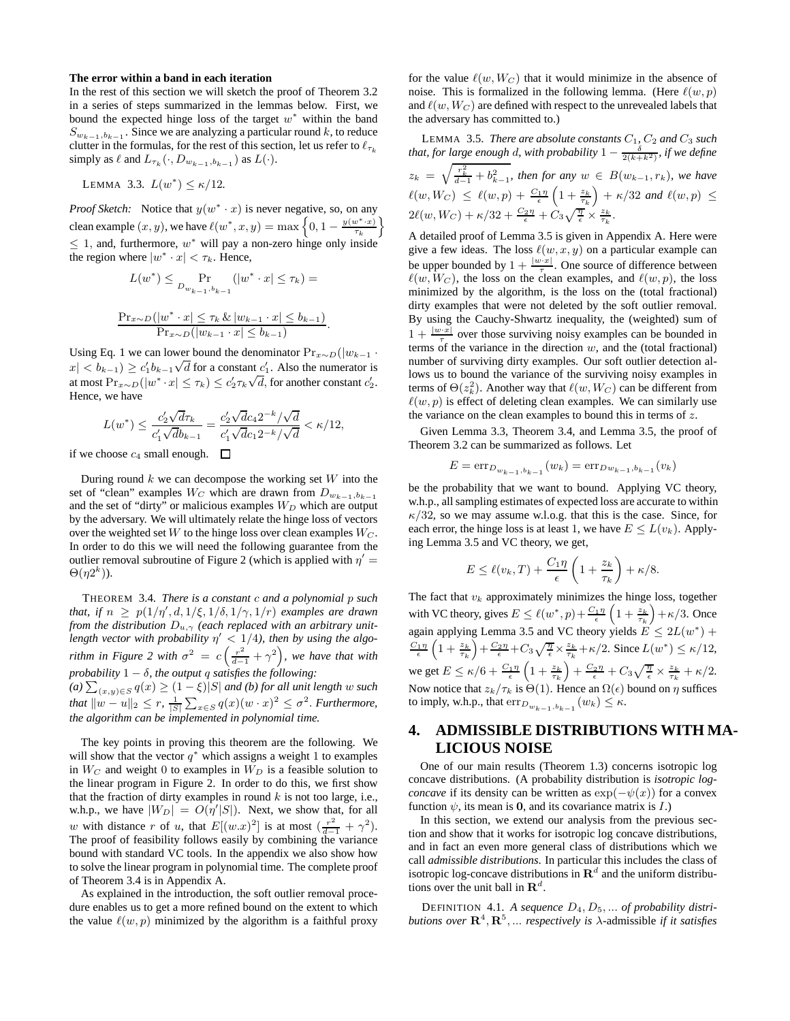#### **The error within a band in each iteration**

In the rest of this section we will sketch the proof of Theorem 3.2 in a series of steps summarized in the lemmas below. First, we bound the expected hinge loss of the target  $w^*$  within the band  $S_{w_{k-1},b_{k-1}}$ . Since we are analyzing a particular round k, to reduce clutter in the formulas, for the rest of this section, let us refer to  $\ell_{\tau_k}$ simply as  $\ell$  and  $L_{\tau_k}(\cdot, D_{w_{k-1},b_{k-1}})$  as  $L(\cdot)$ .

LEMMA 3.3. 
$$
L(w^*) \le \kappa/12.
$$

*Proof Sketch:* Notice that  $y(w^* \cdot x)$  is never negative, so, on any clean example  $(x, y)$ , we have  $\ell(w^*, x, y) = \max\left\{0, 1 - \frac{y(w^*, x)}{\tau_k}\right\}$  $\leq 1$ , and, furthermore,  $w^*$  will pay a non-zero hinge only inside the region where  $|w^* \cdot x| < \tau_k$ . Hence,

$$
L(w^*) \leq \Pr_{D_{w_{k-1},b_{k-1}}}(|w^* \cdot x| \leq \tau_k) =
$$

$$
\frac{\Pr_{x \sim D}(|w^* \cdot x| \le \tau_k \& |w_{k-1} \cdot x| \le b_{k-1})}{\Pr_{x \sim D}(|w_{k-1} \cdot x| \le b_{k-1})}.
$$

Using Eq. 1 we can lower bound the denominator  $Pr_{x \sim D}(|w_{k-1}|)$ .  $|x| < b_{k-1}$ )  $\ge c'_1 b_{k-1} \sqrt{d}$  for a constant  $c'_1$ . Also the numerator is at most  $Pr_{x \sim D}(|w^* \cdot x| \leq \tau_k) \leq c'_2 \tau_k \sqrt{d}$ , for another constant  $c'_2$ . Hence, we have

$$
L(w^*) \le \frac{c_2' \sqrt{d} \tau_k}{c_1' \sqrt{d} b_{k-1}} = \frac{c_2' \sqrt{d} c_4 2^{-k} / \sqrt{d}}{c_1' \sqrt{d} c_1 2^{-k} / \sqrt{d}} < \kappa / 12,
$$

if we choose  $c_4$  small enough.  $\square$ 

During round  $k$  we can decompose the working set  $W$  into the set of "clean" examples W<sub>C</sub> which are drawn from  $D_{w_{k-1},b_{k-1}}$ and the set of "dirty" or malicious examples  $W_D$  which are output by the adversary. We will ultimately relate the hinge loss of vectors over the weighted set  $W$  to the hinge loss over clean examples  $W_C$ . In order to do this we will need the following guarantee from the outlier removal subroutine of Figure 2 (which is applied with  $\eta' =$  $\Theta(\eta 2^k)$ ).

THEOREM 3.4. *There is a constant* c *and a polynomial* p *such that, if*  $n \ge p(1/\eta', d, 1/\xi, 1/\delta, 1/\gamma, 1/r)$  *examples are drawn from the distribution*  $D_{u,v}$  *(each replaced with an arbitrary unit*length vector with probability  $\eta' < 1/4$ ), then by using the algo*rithm in Figure 2 with*  $\sigma^2 = c \left( \frac{r^2}{d-1} + \gamma^2 \right)$ , we have that with *probability* 1 − δ*, the output* q *satisfies the following:*  $(a)$   $\sum_{(x,y)\in S} q(x) \geq (1-\xi)|S|$  *and (b) for all unit length* w *such* 

*that*  $||w - u||_2 \leq r$ ,  $\frac{1}{|S|} \sum_{x \in S} q(x)(w \cdot x)^2 \leq \sigma^2$ . *Furthermore*, *the algorithm can be implemented in polynomial time.*

The key points in proving this theorem are the following. We will show that the vector  $q^*$  which assigns a weight 1 to examples in  $W_C$  and weight 0 to examples in  $W_D$  is a feasible solution to the linear program in Figure 2. In order to do this, we first show that the fraction of dirty examples in round  $k$  is not too large, i.e., w.h.p., we have  $|W_D| = O(\eta' |S|)$ . Next, we show that, for all w with distance r of u, that  $E[(w.x)^2]$  is at most  $\left(\frac{r^2}{d-1} + \gamma^2\right)$ . The proof of feasibility follows easily by combining the variance bound with standard VC tools. In the appendix we also show how to solve the linear program in polynomial time. The complete proof of Theorem 3.4 is in Appendix A.

As explained in the introduction, the soft outlier removal procedure enables us to get a more refined bound on the extent to which the value  $\ell(w, p)$  minimized by the algorithm is a faithful proxy

for the value  $\ell(w, W_C)$  that it would minimize in the absence of noise. This is formalized in the following lemma. (Here  $\ell(w, p)$ and  $\ell(w, W_C)$  are defined with respect to the unrevealed labels that the adversary has committed to.)

LEMMA 3.5. *There are absolute constants*  $C_1$ ,  $C_2$  *and*  $C_3$  *such that, for large enough d, with probability*  $1 - \frac{\delta}{2(k+k^2)}$ *, if we define*  $z_k = \sqrt{\frac{r_k^2}{d-1} + b_{k-1}^2}$ , then for any  $w \in B(w_{k-1}, r_k)$ , we have  $\ell(w,W_C) \ \leq \ \ell(w,p) \ + \ \frac{C_1\eta}{\epsilon} \left( 1 + \frac{z_k}{\tau_k} \right) \ + \ \kappa/32 \ \ and \ \ \ell(w,p) \ \leq$  $2\ell(w, W_C) + \kappa/32 + \frac{C_2\eta}{\epsilon} + C_3\sqrt{\frac{\eta}{\epsilon}} \times \frac{z_k}{\tau_k}.$ 

A detailed proof of Lemma 3.5 is given in Appendix A. Here were give a few ideas. The loss  $\ell(w, x, y)$  on a particular example can be upper bounded by  $1 + \frac{|w \cdot x|}{\tau}$ . One source of difference between  $\ell(w, W_C)$ , the loss on the clean examples, and  $\ell(w, p)$ , the loss minimized by the algorithm, is the loss on the (total fractional) dirty examples that were not deleted by the soft outlier removal. By using the Cauchy-Shwartz inequality, the (weighted) sum of  $1 + \frac{|w \cdot x|}{\tau}$  over those surviving noisy examples can be bounded in terms of the variance in the direction  $w$ , and the (total fractional) number of surviving dirty examples. Our soft outlier detection allows us to bound the variance of the surviving noisy examples in terms of  $\Theta(z_k^2)$ . Another way that  $\ell(w, W_C)$  can be different from  $\ell(w, p)$  is effect of deleting clean examples. We can similarly use the variance on the clean examples to bound this in terms of  $z$ .

Given Lemma 3.3, Theorem 3.4, and Lemma 3.5, the proof of Theorem 3.2 can be summarized as follows. Let

$$
E = \mathrm{err}_{D_{w_{k-1},b_{k-1}}}(w_k) = \mathrm{err}_{Dw_{k-1},b_{k-1}}(v_k)
$$

be the probability that we want to bound. Applying VC theory, w.h.p., all sampling estimates of expected loss are accurate to within  $\kappa/32$ , so we may assume w.l.o.g. that this is the case. Since, for each error, the hinge loss is at least 1, we have  $E \leq L(v_k)$ . Applying Lemma 3.5 and VC theory, we get,

$$
E \leq \ell(v_k, T) + \frac{C_1 \eta}{\epsilon} \left( 1 + \frac{z_k}{\tau_k} \right) + \kappa/8.
$$

The fact that  $v_k$  approximately minimizes the hinge loss, together with VC theory, gives  $E \leq \ell(w^*, p) + \frac{C_1 \eta}{\epsilon} \left(1 + \frac{z_k}{\tau_k}\right) + \kappa/3$ . Once again applying Lemma 3.5 and VC theory yields  $E \le 2L(w^*)$  +  $\frac{C_1 \eta}{\epsilon} \left(1 + \frac{z_k}{\tau_k}\right) + \frac{C_2 \eta}{\epsilon} + C_3 \sqrt{\frac{\eta}{\epsilon}} \times \frac{z_k}{\tau_k} + \kappa/2$ . Since  $L(w^*) \le \kappa/12$ , we get  $E \le \kappa/6 + \frac{C_1 \eta}{\epsilon} \left(1 + \frac{z_k}{\tau_k}\right) + \frac{C_2 \eta}{\epsilon} + C_3 \sqrt{\frac{\eta}{\epsilon}} \times \frac{z_k}{\tau_k} + \kappa/2.$ Now notice that  $z_k/\tau_k$  is  $\Theta(1)$ . Hence an  $\Omega(\epsilon)$  bound on  $\eta$  suffices to imply, w.h.p., that  $err_{D_{w_{k-1},b_{k-1}}}(w_k) \leq \kappa$ .

# **4. ADMISSIBLE DISTRIBUTIONS WITH MA-LICIOUS NOISE**

One of our main results (Theorem 1.3) concerns isotropic log concave distributions. (A probability distribution is *isotropic logconcave* if its density can be written as  $\exp(-\psi(x))$  for a convex function  $\psi$ , its mean is 0, and its covariance matrix is I.)

In this section, we extend our analysis from the previous section and show that it works for isotropic log concave distributions, and in fact an even more general class of distributions which we call *admissible distributions*. In particular this includes the class of isotropic log-concave distributions in  $\mathbf{R}^{d}$  and the uniform distributions over the unit ball in  $\mathbf{R}^{d}$ .

DEFINITION 4.1. *A sequence* D4, D5, ... *of probability distributions over*  $\mathbb{R}^4, \mathbb{R}^5, \dots$  *respectively is*  $\lambda$ -admissible *if it satisfies*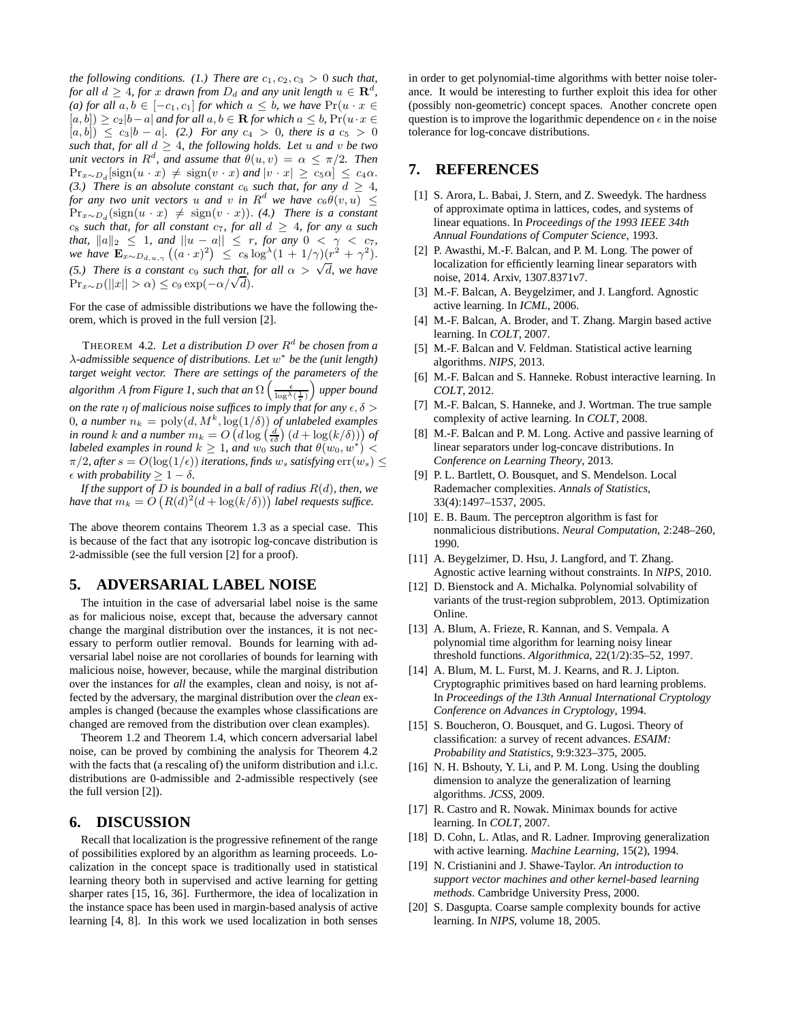*the following conditions.* (1.) There are  $c_1, c_2, c_3 > 0$  *such that, for all*  $d \geq 4$ *, for* x *drawn from*  $D_d$  *and any unit length*  $u \in \mathbb{R}^d$ *, (a) for all*  $a, b \in [-c_1, c_1]$  *for which*  $a \leq b$ *, we have*  $Pr(u \cdot x \in$  $[a, b]$ ) ≥  $c_2$  |b − a| *and for all*  $a, b \in \mathbf{R}$  *for which*  $a \leq b$ , Pr( $u \cdot x \in \mathbf{R}$  $[a, b] \leq c_3 |b - a|$ . (2.) For any  $c_4 > 0$ , there is a  $c_5 > 0$ *such that, for all*  $d \geq 4$ *, the following holds. Let u and v be two unit vectors in*  $R^d$ *, and assume that*  $\theta(u, v) = \alpha \le \pi/2$ *. Then*  $\Pr_{x \sim D_d}[\text{sign}(u \cdot x) \neq \text{sign}(v \cdot x) \text{ and } |v \cdot x| \geq c_5 \alpha] \leq c_4 \alpha.$ *(3.)* There is an absolute constant  $c_6$  such that, for any  $d \geq 4$ , *for any two unit vectors* u *and* v *in*  $R^d$  *we have*  $c_6\theta(v, u) \leq$  $\Pr_{x \sim D_d}(\text{sign}(u \cdot x) \neq \text{sign}(v \cdot x))$ . *(4.) There is a constant* c<sub>8</sub> such that, for all constant  $c_7$ , for all  $d \geq 4$ , for any a such *that,*  $||a||_2 \leq 1$ *, and*  $||u - a|| \leq r$ *, for any*  $0 < \gamma < c_7$ *, or we have*  $\mathbf{E}_{x \sim D_{d,u,\gamma}}((a \cdot x)^2) \leq c_8 \log^{\lambda}(1 + 1/\gamma)(r^2 + \gamma^2)$ . (5.) There is a constant c<sub>9</sub> such that, for all  $\alpha > \sqrt{d}$ , we have  $\Pr_{x \sim D}(||x|| > \alpha) \leq c_9 \exp(-\alpha/\sqrt{d}).$ 

For the case of admissible distributions we have the following theorem, which is proved in the full version [2].

THEOREM 4.2. *Let a distribution* D *over* R d *be chosen from a* λ*-admissible sequence of distributions. Let* w ∗ *be the (unit length) target weight vector. There are settings of the parameters of the*  $algorithm$   $A$  *from Figure 1, such that an*  $\Omega\left(\frac{\epsilon}{\log^\lambda(\frac{1}{\epsilon})}\right)$  *upper bound on the rate*  $\eta$  *of malicious noise suffices to imply that for any*  $\epsilon$ ,  $\delta$  > 0, a number  $n_k = \text{poly}(d, M^k, \log(1/\delta))$  of unlabeled examples *in round k and a number*  $m_k = O\left(d \log\left(\frac{d}{\epsilon \delta}\right) (d + \log(k/\delta))\right)$  of *labeled examples in round*  $k \geq 1$ , and  $w_0$  such that  $\theta(w_0, w^*) <$  $\pi/2$ , after  $s = O(\log(1/\epsilon))$  iterations, finds  $w_s$  satisfying  $err(w_s) \leq$  $\epsilon$  *with probability*  $\geq 1 - \delta$ *.* 

*If the support of* D *is bounded in a ball of radius* R(d)*, then, we* have that  $m_k = O\left(R(d)^2(d + \log(k/\delta))\right)$  label requests suffice.

The above theorem contains Theorem 1.3 as a special case. This is because of the fact that any isotropic log-concave distribution is 2-admissible (see the full version [2] for a proof).

### **5. ADVERSARIAL LABEL NOISE**

The intuition in the case of adversarial label noise is the same as for malicious noise, except that, because the adversary cannot change the marginal distribution over the instances, it is not necessary to perform outlier removal. Bounds for learning with adversarial label noise are not corollaries of bounds for learning with malicious noise, however, because, while the marginal distribution over the instances for *all* the examples, clean and noisy, is not affected by the adversary, the marginal distribution over the *clean* examples is changed (because the examples whose classifications are changed are removed from the distribution over clean examples).

Theorem 1.2 and Theorem 1.4, which concern adversarial label noise, can be proved by combining the analysis for Theorem 4.2 with the facts that (a rescaling of) the uniform distribution and i.l.c. distributions are 0-admissible and 2-admissible respectively (see the full version [2]).

### **6. DISCUSSION**

Recall that localization is the progressive refinement of the range of possibilities explored by an algorithm as learning proceeds. Localization in the concept space is traditionally used in statistical learning theory both in supervised and active learning for getting sharper rates [15, 16, 36]. Furthermore, the idea of localization in the instance space has been used in margin-based analysis of active learning [4, 8]. In this work we used localization in both senses

in order to get polynomial-time algorithms with better noise tolerance. It would be interesting to further exploit this idea for other (possibly non-geometric) concept spaces. Another concrete open question is to improve the logarithmic dependence on  $\epsilon$  in the noise tolerance for log-concave distributions.

# **7. REFERENCES**

- [1] S. Arora, L. Babai, J. Stern, and Z. Sweedyk. The hardness of approximate optima in lattices, codes, and systems of linear equations. In *Proceedings of the 1993 IEEE 34th Annual Foundations of Computer Science*, 1993.
- [2] P. Awasthi, M.-F. Balcan, and P. M. Long. The power of localization for efficiently learning linear separators with noise, 2014. Arxiv, 1307.8371v7.
- [3] M.-F. Balcan, A. Beygelzimer, and J. Langford. Agnostic active learning. In *ICML*, 2006.
- [4] M.-F. Balcan, A. Broder, and T. Zhang. Margin based active learning. In *COLT*, 2007.
- [5] M.-F. Balcan and V. Feldman. Statistical active learning algorithms. *NIPS*, 2013.
- [6] M.-F. Balcan and S. Hanneke. Robust interactive learning. In *COLT*, 2012.
- [7] M.-F. Balcan, S. Hanneke, and J. Wortman. The true sample complexity of active learning. In *COLT*, 2008.
- [8] M.-F. Balcan and P. M. Long. Active and passive learning of linear separators under log-concave distributions. In *Conference on Learning Theory*, 2013.
- [9] P. L. Bartlett, O. Bousquet, and S. Mendelson. Local Rademacher complexities. *Annals of Statistics*, 33(4):1497–1537, 2005.
- [10] E. B. Baum. The perceptron algorithm is fast for nonmalicious distributions. *Neural Computation*, 2:248–260, 1990.
- [11] A. Beygelzimer, D. Hsu, J. Langford, and T. Zhang. Agnostic active learning without constraints. In *NIPS*, 2010.
- [12] D. Bienstock and A. Michalka. Polynomial solvability of variants of the trust-region subproblem, 2013. Optimization Online.
- [13] A. Blum, A. Frieze, R. Kannan, and S. Vempala. A polynomial time algorithm for learning noisy linear threshold functions. *Algorithmica*, 22(1/2):35–52, 1997.
- [14] A. Blum, M. L. Furst, M. J. Kearns, and R. J. Lipton. Cryptographic primitives based on hard learning problems. In *Proceedings of the 13th Annual International Cryptology Conference on Advances in Cryptology*, 1994.
- [15] S. Boucheron, O. Bousquet, and G. Lugosi. Theory of classification: a survey of recent advances. *ESAIM: Probability and Statistics*, 9:9:323–375, 2005.
- [16] N. H. Bshouty, Y. Li, and P. M. Long. Using the doubling dimension to analyze the generalization of learning algorithms. *JCSS*, 2009.
- [17] R. Castro and R. Nowak. Minimax bounds for active learning. In *COLT*, 2007.
- [18] D. Cohn, L. Atlas, and R. Ladner. Improving generalization with active learning. *Machine Learning*, 15(2), 1994.
- [19] N. Cristianini and J. Shawe-Taylor. *An introduction to support vector machines and other kernel-based learning methods*. Cambridge University Press, 2000.
- [20] S. Dasgupta. Coarse sample complexity bounds for active learning. In *NIPS*, volume 18, 2005.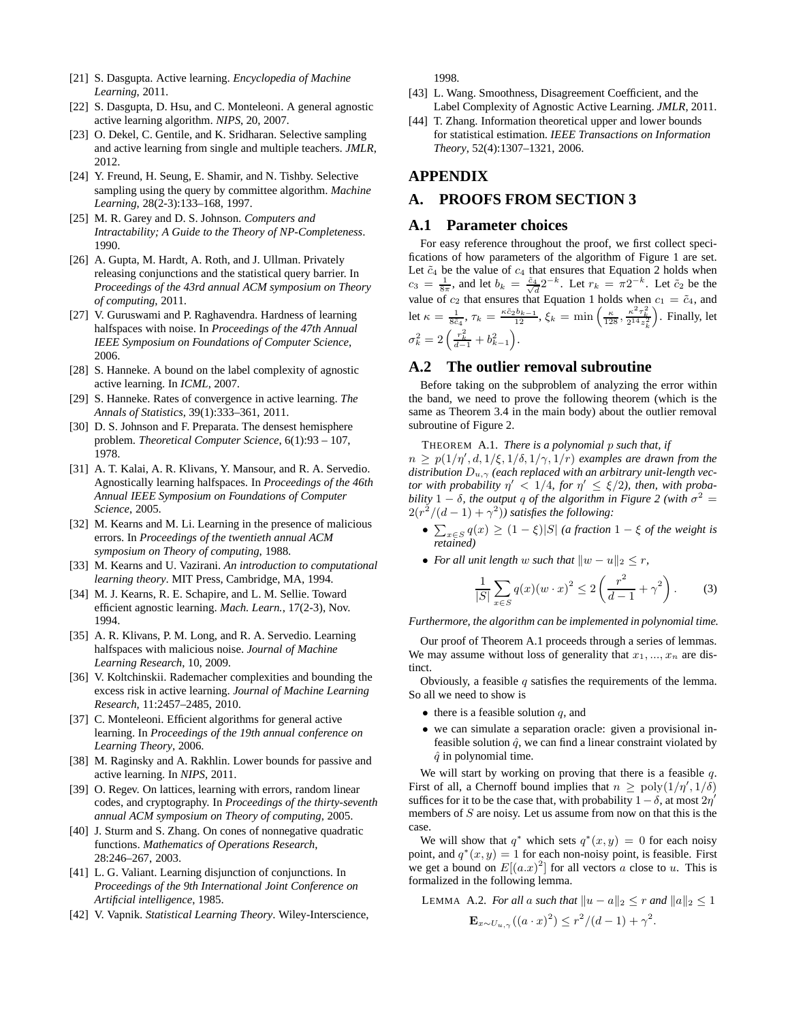- [21] S. Dasgupta. Active learning. *Encyclopedia of Machine Learning*, 2011.
- [22] S. Dasgupta, D. Hsu, and C. Monteleoni. A general agnostic active learning algorithm. *NIPS*, 20, 2007.
- [23] O. Dekel, C. Gentile, and K. Sridharan. Selective sampling and active learning from single and multiple teachers. *JMLR*, 2012.
- [24] Y. Freund, H. Seung, E. Shamir, and N. Tishby. Selective sampling using the query by committee algorithm. *Machine Learning*, 28(2-3):133–168, 1997.
- [25] M. R. Garey and D. S. Johnson. *Computers and Intractability; A Guide to the Theory of NP-Completeness*. 1990.
- [26] A. Gupta, M. Hardt, A. Roth, and J. Ullman. Privately releasing conjunctions and the statistical query barrier. In *Proceedings of the 43rd annual ACM symposium on Theory of computing*, 2011.
- [27] V. Guruswami and P. Raghavendra. Hardness of learning halfspaces with noise. In *Proceedings of the 47th Annual IEEE Symposium on Foundations of Computer Science*, 2006.
- [28] S. Hanneke. A bound on the label complexity of agnostic active learning. In *ICML*, 2007.
- [29] S. Hanneke. Rates of convergence in active learning. *The Annals of Statistics*, 39(1):333–361, 2011.
- [30] D. S. Johnson and F. Preparata. The densest hemisphere problem. *Theoretical Computer Science*, 6(1):93 – 107, 1978.
- [31] A. T. Kalai, A. R. Klivans, Y. Mansour, and R. A. Servedio. Agnostically learning halfspaces. In *Proceedings of the 46th Annual IEEE Symposium on Foundations of Computer Science*, 2005.
- [32] M. Kearns and M. Li. Learning in the presence of malicious errors. In *Proceedings of the twentieth annual ACM symposium on Theory of computing*, 1988.
- [33] M. Kearns and U. Vazirani. *An introduction to computational learning theory*. MIT Press, Cambridge, MA, 1994.
- [34] M. J. Kearns, R. E. Schapire, and L. M. Sellie. Toward efficient agnostic learning. *Mach. Learn.*, 17(2-3), Nov. 1994.
- [35] A. R. Klivans, P. M. Long, and R. A. Servedio. Learning halfspaces with malicious noise. *Journal of Machine Learning Research*, 10, 2009.
- [36] V. Koltchinskii. Rademacher complexities and bounding the excess risk in active learning. *Journal of Machine Learning Research*, 11:2457–2485, 2010.
- [37] C. Monteleoni. Efficient algorithms for general active learning. In *Proceedings of the 19th annual conference on Learning Theory*, 2006.
- [38] M. Raginsky and A. Rakhlin. Lower bounds for passive and active learning. In *NIPS*, 2011.
- [39] O. Regev. On lattices, learning with errors, random linear codes, and cryptography. In *Proceedings of the thirty-seventh annual ACM symposium on Theory of computing*, 2005.
- [40] J. Sturm and S. Zhang. On cones of nonnegative quadratic functions. *Mathematics of Operations Research*, 28:246–267, 2003.
- [41] L. G. Valiant. Learning disjunction of conjunctions. In *Proceedings of the 9th International Joint Conference on Artificial intelligence*, 1985.
- [42] V. Vapnik. *Statistical Learning Theory*. Wiley-Interscience,

1998.

- [43] L. Wang. Smoothness, Disagreement Coefficient, and the Label Complexity of Agnostic Active Learning. *JMLR*, 2011.
- [44] T. Zhang. Information theoretical upper and lower bounds for statistical estimation. *IEEE Transactions on Information Theory*, 52(4):1307–1321, 2006.

# **APPENDIX**

# **A. PROOFS FROM SECTION 3**

### **A.1 Parameter choices**

For easy reference throughout the proof, we first collect specifications of how parameters of the algorithm of Figure 1 are set. Let  $\tilde{c}_4$  be the value of  $c_4$  that ensures that Equation 2 holds when  $c_3 = \frac{1}{8\pi}$ , and let  $b_k = \frac{\tilde{c}_4}{\sqrt{d}} 2^{-k}$ . Let  $r_k = \pi 2^{-k}$ . Let  $\tilde{c}_2$  be the value of  $c_2$  that ensures that Equation 1 holds when  $c_1 = \tilde{c}_4$ , and let  $\kappa = \frac{1}{8\tilde{c}_4}$ ,  $\tau_k = \frac{\kappa \tilde{c}_2 b_{k-1}}{12}$ ,  $\xi_k = \min\left(\frac{\kappa}{128}, \frac{\kappa^2 \tau_k^2}{2^{14} z_k^2}\right)$  . Finally, let  $\sigma_k^2 = 2\left(\frac{r_k^2}{d-1} + b_{k-1}^2\right).$ 

### **A.2 The outlier removal subroutine**

Before taking on the subproblem of analyzing the error within the band, we need to prove the following theorem (which is the same as Theorem 3.4 in the main body) about the outlier removal subroutine of Figure 2.

THEOREM A.1. *There is a polynomial* p *such that, if*  $n \geq p(1/\eta', d, 1/\xi, 1/\delta, 1/\gamma, 1/r)$  *examples are drawn from the distribution* Du,γ *(each replaced with an arbitrary unit-length vector with probability*  $\eta' < 1/4$ , *for*  $\eta' \leq \xi/2$ *), then, with probability*  $1 - \delta$ *, the output q of the algorithm in Figure 2 (with*  $\sigma^2 =$  $2(r^2/(d-1)+\gamma^2)$ ) satisfies the following:

- $\bullet$   $\sum_{x \in S} q(x) \geq (1 \xi)|S|$  *(a fraction* 1 − ξ *of the weight is retained)*
- For all unit length w such that  $||w u||_2 \leq r$ ,

$$
\frac{1}{|S|} \sum_{x \in S} q(x) (w \cdot x)^2 \le 2 \left( \frac{r^2}{d - 1} + \gamma^2 \right).
$$
 (3)

*Furthermore, the algorithm can be implemented in polynomial time.*

Our proof of Theorem A.1 proceeds through a series of lemmas. We may assume without loss of generality that  $x_1, ..., x_n$  are distinct.

Obviously, a feasible  $q$  satisfies the requirements of the lemma. So all we need to show is

- there is a feasible solution  $q$ , and
- we can simulate a separation oracle: given a provisional infeasible solution  $\hat{q}$ , we can find a linear constraint violated by  $\hat{q}$  in polynomial time.

We will start by working on proving that there is a feasible  $q$ . First of all, a Chernoff bound implies that  $n \ge \text{poly}(1/\eta', 1/\delta)$ suffices for it to be the case that, with probability  $1 - \delta$ , at most  $2\eta'$ members of  $S$  are noisy. Let us assume from now on that this is the case.

We will show that  $q^*$  which sets  $q^*(x, y) = 0$  for each noisy point, and  $q^*(x, y) = 1$  for each non-noisy point, is feasible. First we get a bound on  $E[(a.x)^2]$  for all vectors a close to u. This is formalized in the following lemma.

LEMMA A.2. *For all* a *such that*  $||u - a||_2 \leq r$  *and*  $||a||_2 \leq 1$ 

$$
\mathbf{E}_{x \sim U_{u,\gamma}}((a \cdot x)^2) \leq r^2/(d-1) + \gamma^2.
$$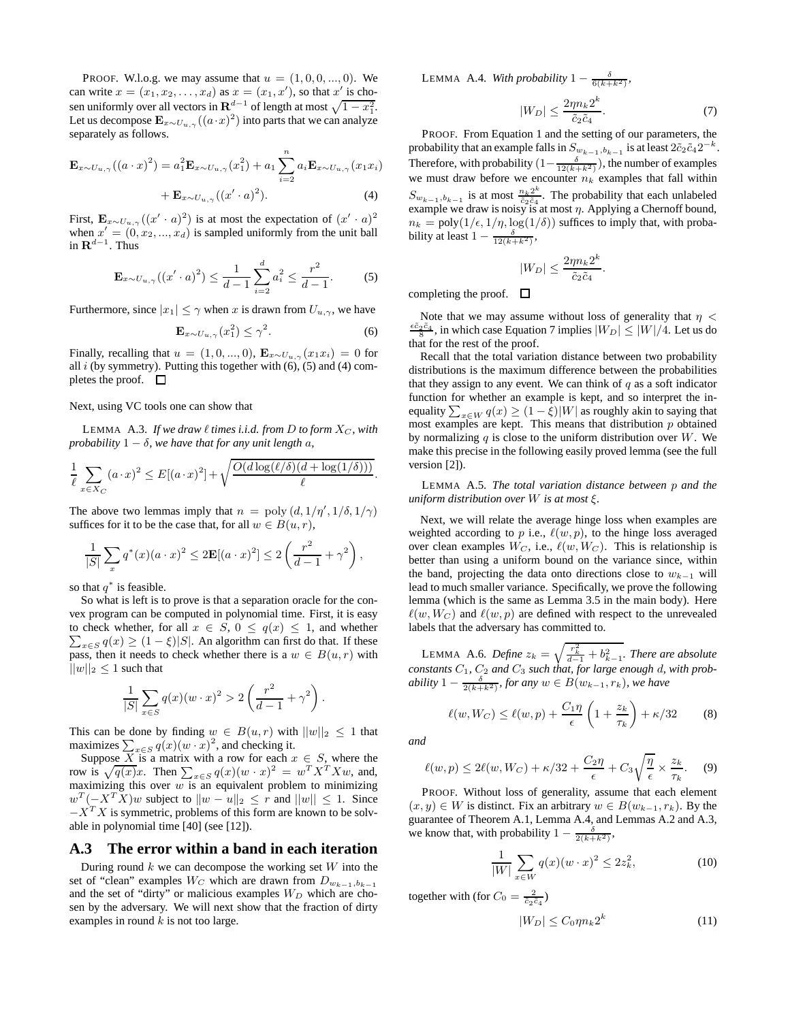**PROOF.** W.l.o.g. we may assume that  $u = (1, 0, 0, ..., 0)$ . We can write  $x = (x_1, x_2, \dots, x_d)$  as  $x = (x_1, x')$ , so that  $x'$  is chosen uniformly over all vectors in  $\mathbf{R}^{d-1}$  of length at most  $\sqrt{1-x_1^2}$ . Let us decompose  $\mathbf{E}_{x \sim U_{u,\gamma}}((a \cdot x)^2)$  into parts that we can analyze separately as follows.

$$
\mathbf{E}_{x \sim U_{u,\gamma}}((a \cdot x)^2) = a_1^2 \mathbf{E}_{x \sim U_{u,\gamma}}(x_1^2) + a_1 \sum_{i=2}^n a_i \mathbf{E}_{x \sim U_{u,\gamma}}(x_1 x_i)
$$

$$
+ \mathbf{E}_{x \sim U_{u,\gamma}}((x' \cdot a)^2). \tag{4}
$$

First,  $\mathbf{E}_{x \sim U_{u,\gamma}}((x' \cdot a)^2)$  is at most the expectation of  $(x' \cdot a)^2$ when  $x' = (0, x_2, ..., x_d)$  is sampled uniformly from the unit ball in  $\mathbf{R}^{d-1}$ . Thus

$$
\mathbf{E}_{x \sim U_{u,\gamma}}((x' \cdot a)^2) \le \frac{1}{d-1} \sum_{i=2}^d a_i^2 \le \frac{r^2}{d-1}.
$$
 (5)

Furthermore, since  $|x_1| \leq \gamma$  when x is drawn from  $U_{u,\gamma}$ , we have

$$
\mathbf{E}_{x \sim U_{u,\gamma}}(x_1^2) \le \gamma^2. \tag{6}
$$

Finally, recalling that  $u = (1, 0, ..., 0)$ ,  $\mathbf{E}_{x \sim U_{u,\gamma}}(x_1 x_i) = 0$  for all  $i$  (by symmetry). Putting this together with  $(6)$ ,  $(5)$  and  $(4)$  completes the proof.  $\Box$ 

Next, using VC tools one can show that

**LEMMA** A.3. If we draw  $\ell$  times i.i.d. from D to form  $X_C$ , with *probability*  $1 - \delta$ *, we have that for any unit length a,* 

$$
\frac{1}{\ell} \sum_{x \in X_C} (a \cdot x)^2 \le E[(a \cdot x)^2] + \sqrt{\frac{O(d \log(\ell/\delta)(d + \log(1/\delta)))}{\ell}}
$$

The above two lemmas imply that  $n = \text{poly}(d, 1/\eta', 1/\delta, 1/\gamma)$ suffices for it to be the case that, for all  $w \in B(u, r)$ ,

$$
\frac{1}{|S|} \sum_{x} q^*(x) (a \cdot x)^2 \le 2\mathbf{E}[(a \cdot x)^2] \le 2\left(\frac{r^2}{d-1} + \gamma^2\right),
$$

so that  $q^*$  is feasible.

So what is left is to prove is that a separation oracle for the convex program can be computed in polynomial time. First, it is easy to check whether, for all  $x \in S$ ,  $0 \le q(x) \le 1$ , and whether to check whether, for all  $x \in S$ ,  $0 \le q(x) \le 1$ , and whether  $\sum_{x \in S} q(x) \ge (1 - \xi)|S|$ . An algorithm can first do that. If these pass, then it needs to check whether there is a  $w \in B(u, r)$  with  $||w||_2 \leq 1$  such that

$$
\frac{1}{|S|} \sum_{x \in S} q(x) (w \cdot x)^2 > 2 \left( \frac{r^2}{d-1} + \gamma^2 \right).
$$

This can be done by finding  $w \in B(u,r)$  with  $||w||_2 \leq 1$  that maximizes  $\sum_{x \in S} q(x) (w \cdot x)^2$ , and checking it.

Suppose X is a matrix with a row for each  $x \in S$ , where the row is  $\sqrt{q(x)}x$ . Then  $\sum_{x \in S} q(x)(w \cdot x)^2 = w^T X^T X w$ , and, maximizing this over  $w$  is an equivalent problem to minimizing  $w^T(-X^T X)w$  subject to  $\|w - u\|_2 \leq r$  and  $\|w\| \leq 1$ . Since  $-X<sup>T</sup>X$  is symmetric, problems of this form are known to be solvable in polynomial time [40] (see [12]).

# **A.3 The error within a band in each iteration**

During round  $k$  we can decompose the working set  $W$  into the set of "clean" examples W<sub>C</sub> which are drawn from  $D_{w_{k-1},b_{k-1}}$ and the set of "dirty" or malicious examples  $W_D$  which are chosen by the adversary. We will next show that the fraction of dirty examples in round  $k$  is not too large.

LEMMA A.4. *With probability*  $1 - \frac{\delta}{6(k + k^2)}$ 

$$
|W_D| \le \frac{2\eta n_k 2^k}{\tilde{c}_2 \tilde{c}_4}.\tag{7}
$$

*,*

PROOF. From Equation 1 and the setting of our parameters, the probability that an example falls in  $S_{w_{k-1},b_{k-1}}$  is at least  $2\tilde{c}_2\tilde{c}_42^{-k}$ . Therefore, with probability  $(1 - \frac{\delta}{12(k + k^2)})$ , the number of examples we must draw before we encounter  $n_k$  examples that fall within  $S_{w_{k-1},b_{k-1}}$  is at most  $\frac{n_k 2^k}{\tilde{c}_2 \tilde{c}_4}$  $\frac{n_k 2^n}{\tilde{c}_2 \tilde{c}_4}$ . The probability that each unlabeled example we draw is noisy is at most  $\eta$ . Applying a Chernoff bound,  $n_k = \text{poly}(1/\epsilon, 1/\eta, \log(1/\delta))$  suffices to imply that, with probability at least  $1 - \frac{\delta}{12(k+k^2)}$ ,

$$
|W_D| \le \frac{2\eta n_k 2^k}{\tilde{c}_2 \tilde{c}_4}
$$

.

completing the proof.  $\Box$ 

Note that we may assume without loss of generality that  $\eta$  <  $\frac{\epsilon \tilde{c}_2 \tilde{c}_4}{8}$ , in which case Equation 7 implies  $|W_D| \leq |W|/4$ . Let us do that for the rest of the proof.

Recall that the total variation distance between two probability distributions is the maximum difference between the probabilities that they assign to any event. We can think of  $q$  as a soft indicator function for whether an example is kept, and so interpret the inequality  $\sum_{x \in W} q(x) \ge (1 - \xi)|W|$  as roughly akin to saying that most examples are kept. This means that distribution  $p$  obtained by normalizing  $q$  is close to the uniform distribution over  $W$ . We make this precise in the following easily proved lemma (see the full version [2]).

LEMMA A.5. *The total variation distance between* p *and the uniform distribution over* W *is at most* ξ*.*

Next, we will relate the average hinge loss when examples are weighted according to p i.e.,  $\ell(w, p)$ , to the hinge loss averaged over clean examples  $W_C$ , i.e.,  $\ell(w, W_C)$ . This is relationship is better than using a uniform bound on the variance since, within the band, projecting the data onto directions close to  $w_{k-1}$  will lead to much smaller variance. Specifically, we prove the following lemma (which is the same as Lemma 3.5 in the main body). Here  $\ell(w, W_C)$  and  $\ell(w, p)$  are defined with respect to the unrevealed labels that the adversary has committed to.

LEMMA A.6. *Define*  $z_k = \sqrt{\frac{r_k^2}{d-1} + b_{k-1}^2}$ . *There are absolute*  $\alpha$  *constants*  $C_1$ ,  $C_2$  *and*  $C_3$  *such that, for large enough d, with probability*  $1 - \frac{\delta}{2(k+k^2)}$ *, for any*  $w \in B(w_{k-1}, r_k)$ *, we have* 

$$
\ell(w, W_C) \le \ell(w, p) + \frac{C_1 \eta}{\epsilon} \left( 1 + \frac{z_k}{\tau_k} \right) + \kappa / 32 \tag{8}
$$

*and*

.

$$
\ell(w, p) \le 2\ell(w, W_C) + \kappa/32 + \frac{C_2\eta}{\epsilon} + C_3\sqrt{\frac{\eta}{\epsilon}} \times \frac{z_k}{\tau_k}.\tag{9}
$$

PROOF. Without loss of generality, assume that each element  $(x, y) \in W$  is distinct. Fix an arbitrary  $w \in B(w_{k-1}, r_k)$ . By the guarantee of Theorem A.1, Lemma A.4, and Lemmas A.2 and A.3, we know that, with probability  $1 - \frac{\delta}{2(k+k^2)}$ ,

$$
\frac{1}{|W|} \sum_{x \in W} q(x) (w \cdot x)^2 \le 2z_k^2,
$$
 (10)

together with (for  $C_0 = \frac{2}{\tilde{c}_2 \tilde{c}_4}$ )

$$
|W_D| \le C_0 \eta n_k 2^k \tag{11}
$$